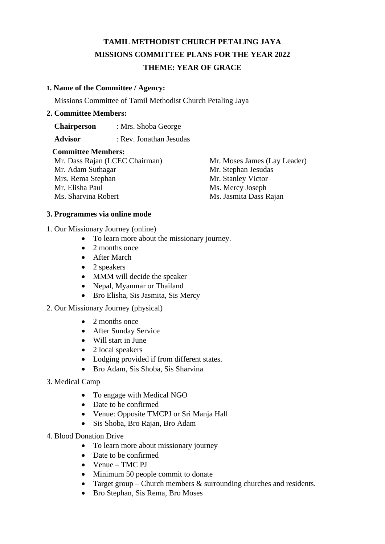# **TAMIL METHODIST CHURCH PETALING JAYA MISSIONS COMMITTEE PLANS FOR THE YEAR 2022 THEME: YEAR OF GRACE**

### **1. Name of the Committee / Agency:**

Missions Committee of Tamil Methodist Church Petaling Jaya

#### **2. Committee Members:**

 **Chairperson** : Mrs. Shoba George

 **Advisor** : Rev. Jonathan Jesudas

### **Committee Members:**

Mr. Dass Rajan (LCEC Chairman) Mr. Moses James (Lay Leader) Mr. Adam Suthagar Mr. Stephan Jesudas Mrs. Rema Stephan Mr. Stanley Victor Mr. Elisha Paul Ms. Mercy Joseph Ms. Sharvina Robert Ms. Jasmita Dass Rajan

### **3. Programmes via online mode**

1. Our Missionary Journey (online)

- To learn more about the missionary journey.
- 2 months once
- After March
- 2 speakers
- MMM will decide the speaker
- Nepal, Myanmar or Thailand
- Bro Elisha, Sis Jasmita, Sis Mercy
- 2. Our Missionary Journey (physical)
	- 2 months once
	- After Sunday Service
	- Will start in June
	- 2 local speakers
	- Lodging provided if from different states.
	- Bro Adam, Sis Shoba, Sis Sharvina
- 3. Medical Camp
	- To engage with Medical NGO
	- Date to be confirmed
	- Venue: Opposite TMCPJ or Sri Manja Hall
	- Sis Shoba, Bro Rajan, Bro Adam
- 4. Blood Donation Drive
	- To learn more about missionary journey
	- Date to be confirmed
	- Venue TMC PJ
	- Minimum 50 people commit to donate
	- Target group Church members & surrounding churches and residents.
	- Bro Stephan, Sis Rema, Bro Moses